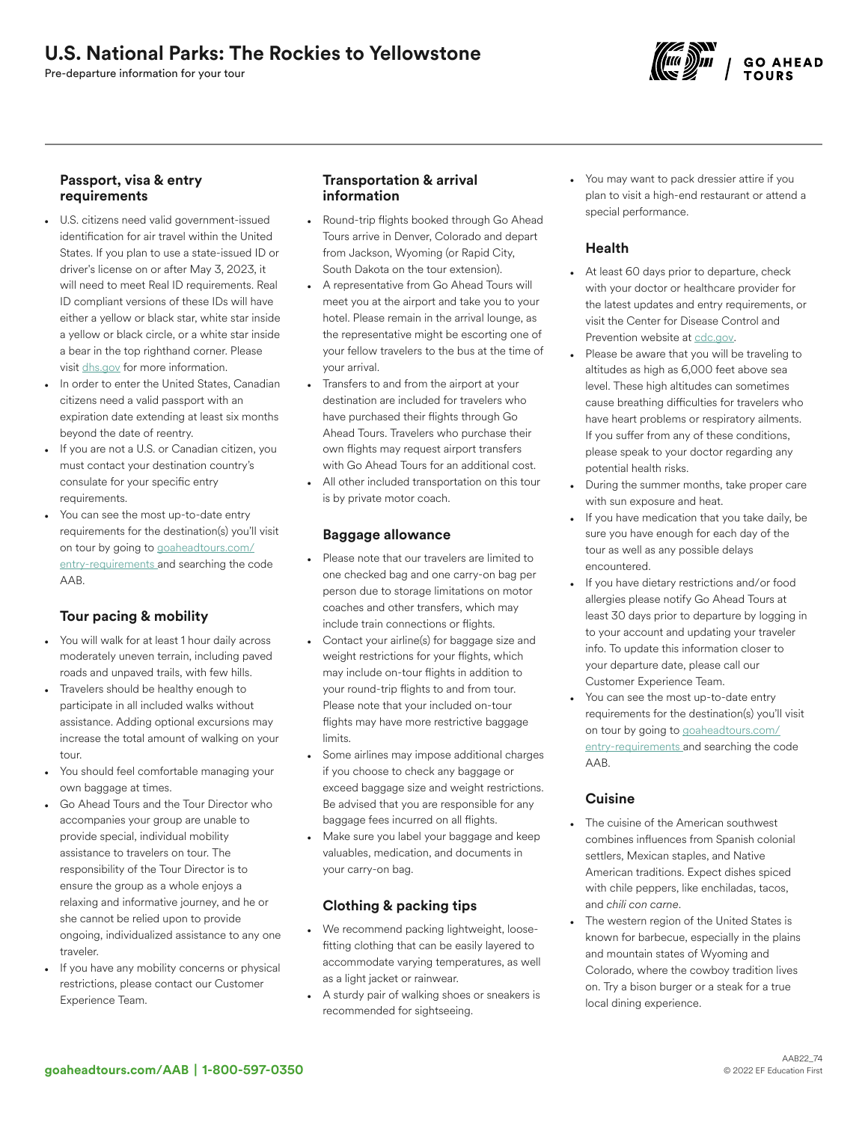# U.S. National Parks: The Rockies to Yellowstone

Pre-departure information for your tour



## Passport, visa & entry requirements

- U.S. citizens need valid government-issued identification for air travel within the United States. If you plan to use a state-issued ID or driver's license on or after May 3, 2023, it will need to meet Real ID requirements. Real ID compliant versions of these IDs will have either a yellow or black star, white star inside a yellow or black circle, or a white star inside a bear in the top righthand corner. Please visit [dhs.gov](https://www.dhs.gov/real-id-frequently-asked-questions) for more information.
- In order to enter the United States, Canadian citizens need a valid passport with an expiration date extending at least six months beyond the date of reentry.
- If you are not a U.S. or Canadian citizen, you must contact your destination country's consulate for your specific entry requirements.
- You can see the most up-to-date entry requirements for the destination(s) you'll visit on tour by going to [goaheadtours.com/](/entry-requirements?tourCode=AAB) [entry-requirements](/entry-requirements?tourCode=AAB) and searching the code AAB.

# Tour pacing & mobility

- You will walk for at least 1 hour daily across moderately uneven terrain, including paved roads and unpaved trails, with few hills.
- Travelers should be healthy enough to participate in all included walks without assistance. Adding optional excursions may increase the total amount of walking on your tour.
- You should feel comfortable managing your own baggage at times.
- Go Ahead Tours and the Tour Director who accompanies your group are unable to provide special, individual mobility assistance to travelers on tour. The responsibility of the Tour Director is to ensure the group as a whole enjoys a relaxing and informative journey, and he or she cannot be relied upon to provide ongoing, individualized assistance to any one traveler.
- If you have any mobility concerns or physical restrictions, please contact our Customer Experience Team.

# Transportation & arrival information

- Round-trip flights booked through Go Ahead Tours arrive in Denver, Colorado and depart from Jackson, Wyoming (or Rapid City, South Dakota on the tour extension).
- A representative from Go Ahead Tours will meet you at the airport and take you to your hotel. Please remain in the arrival lounge, as the representative might be escorting one of your fellow travelers to the bus at the time of your arrival.
- Transfers to and from the airport at your destination are included for travelers who have purchased their flights through Go Ahead Tours. Travelers who purchase their own flights may request airport transfers with Go Ahead Tours for an additional cost.
- All other included transportation on this tour is by private motor coach.

## Baggage allowance

- Please note that our travelers are limited to one checked bag and one carry-on bag per person due to storage limitations on motor coaches and other transfers, which may include train connections or flights.
- Contact your airline(s) for baggage size and weight restrictions for your flights, which may include on-tour flights in addition to your round-trip flights to and from tour. Please note that your included on-tour flights may have more restrictive baggage limits.
- Some airlines may impose additional charges if you choose to check any baggage or exceed baggage size and weight restrictions. Be advised that you are responsible for any baggage fees incurred on all flights.
- Make sure you label your baggage and keep valuables, medication, and documents in your carry-on bag.

# Clothing & packing tips

- We recommend packing lightweight, loosefitting clothing that can be easily layered to accommodate varying temperatures, as well as a light jacket or rainwear.
- A sturdy pair of walking shoes or sneakers is recommended for sightseeing.

You may want to pack dressier attire if you plan to visit a high-end restaurant or attend a special performance.

# Health

- At least 60 days prior to departure, check with your doctor or healthcare provider for the latest updates and entry requirements, or visit the Center for Disease Control and Prevention website at [cdc.gov.](https://www.cdc.gov/)
- Please be aware that you will be traveling to altitudes as high as 6,000 feet above sea level. These high altitudes can sometimes cause breathing difficulties for travelers who have heart problems or respiratory ailments. If you suffer from any of these conditions, please speak to your doctor regarding any potential health risks.
- During the summer months, take proper care with sun exposure and heat.
- If you have medication that you take daily, be sure you have enough for each day of the tour as well as any possible delays encountered.
- If you have dietary restrictions and/or food allergies please notify Go Ahead Tours at least 30 days prior to departure by logging in to your account and updating your traveler info. To update this information closer to your departure date, please call our Customer Experience Team.
- You can see the most up-to-date entry requirements for the destination(s) you'll visit on tour by going to [goaheadtours.com/](/entry-requirements?tourCode=AAB) [entry-requirements](/entry-requirements?tourCode=AAB) and searching the code AAB.

# **Cuisine**

- The cuisine of the American southwest combines influences from Spanish colonial settlers, Mexican staples, and Native American traditions. Expect dishes spiced with chile peppers, like enchiladas, tacos, and *chili con carne*.
- The western region of the United States is known for barbecue, especially in the plains and mountain states of Wyoming and Colorado, where the cowboy tradition lives on. Try a bison burger or a steak for a true local dining experience.